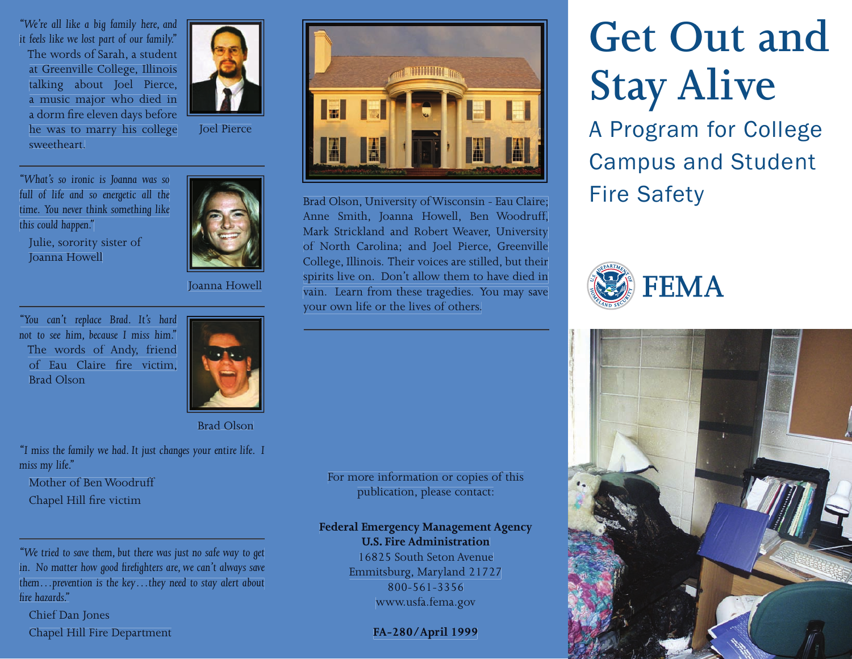*"We're all like a big family here, and it feels like we lost part of our family."* The words of Sarah, a student at Greenville College, Illinois talking about Joel Pierce, a music major who died in a dorm fire eleven days before he was to marry his college sweetheart.



Joel Pierce

*"What's so ironic is Joanna was so full of life and so energetic all the time. You never think something like this could happen."* 

Julie, sorority sister of Joanna Howell

Joanna Howell

*"You can't replace Brad. It's hard not to see him, because I miss him."* The words of Andy, friend of Eau Claire fire victim. Brad Olson



Brad Olson

*"I miss the family we had. It just changes your entire life. I miss my life."*

Mother of Ben Woodruff

Chapel Hill fire victim

*"We tried to save them, but there was just no safe way to get* in. No matter how good firefighters are, we can't always save *them…prevention is the key…they need to stay alert about fi re hazards."* 

Chief Dan Jones Chapel Hill Fire Department



Brad Olson, University of Wisconsin - Eau Claire; Fire Safety Anne Smith, Joanna Howell, Ben Woodruff, Mark Strickland and Robert Weaver, University of North Carolina; and Joel Pierce, Greenville College, Illinois. Their voices are stilled, but their spirits live on. Don't allow them to have died in vain. Learn from these tragedies. You may save your own life or the lives of others.

For more information or copies of this publication, please contact:

# **Federal Emergency Management Agency**

**U.S. Fire Administration**

16825 South Seton Avenue Emmitsburg, Maryland 21727 800-561-3356 www.usfa.fema.gov

#### **FA-280/April 1999**

# **Get Out and Stay Alive**

A Program for College Campus and Student